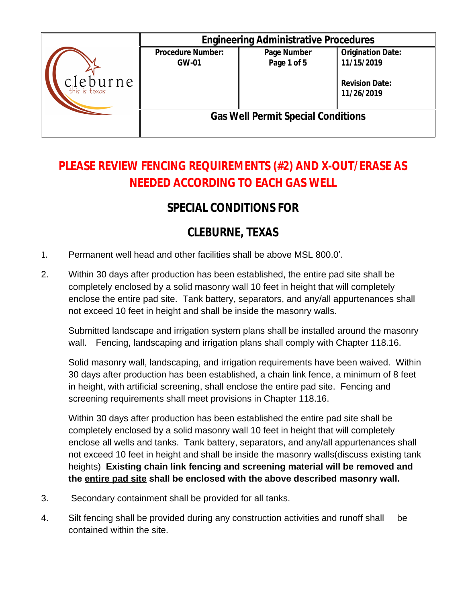|                              |                                           | <b>Engineering Administrative Procedures</b> |                                                                               |  |
|------------------------------|-------------------------------------------|----------------------------------------------|-------------------------------------------------------------------------------|--|
| $c$ leburne<br>this is texas | <b>Procedure Number:</b><br><b>GW-01</b>  | Page Number<br>Page 1 of 5                   | <b>Origination Date:</b><br>11/15/2019<br><b>Revision Date:</b><br>11/26/2019 |  |
|                              | <b>Gas Well Permit Special Conditions</b> |                                              |                                                                               |  |

## **PLEASE REVIEW FENCING REQUIREMENTS (#2) AND X-OUT/ERASE AS NEEDED ACCORDING TO EACH GAS WELL**

## **SPECIAL CONDITIONS FOR**

## **CLEBURNE, TEXAS**

- 1. Permanent well head and other facilities shall be above MSL 800.0'.
- 2. Within 30 days after production has been established, the entire pad site shall be completely enclosed by a solid masonry wall 10 feet in height that will completely enclose the entire pad site. Tank battery, separators, and any/all appurtenances shall not exceed 10 feet in height and shall be inside the masonry walls.

Submitted landscape and irrigation system plans shall be installed around the masonry wall. Fencing, landscaping and irrigation plans shall comply with Chapter 118.16.

Solid masonry wall, landscaping, and irrigation requirements have been waived. Within 30 days after production has been established, a chain link fence, a minimum of 8 feet in height, with artificial screening, shall enclose the entire pad site. Fencing and screening requirements shall meet provisions in Chapter 118.16.

Within 30 days after production has been established the entire pad site shall be completely enclosed by a solid masonry wall 10 feet in height that will completely enclose all wells and tanks. Tank battery, separators, and any/all appurtenances shall not exceed 10 feet in height and shall be inside the masonry walls(discuss existing tank heights) **Existing chain link fencing and screening material will be removed and the entire pad site shall be enclosed with the above described masonry wall.**

- 3. Secondary containment shall be provided for all tanks.
- 4. Silt fencing shall be provided during any construction activities and runoff shall be contained within the site.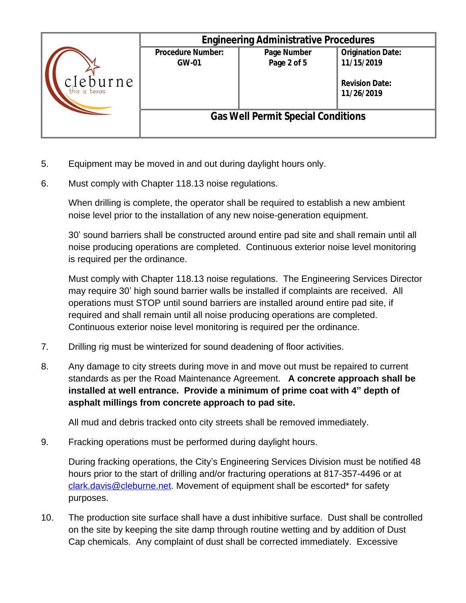|                              |                                           | <b>Engineering Administrative Procedures</b> |                                                                               |  |
|------------------------------|-------------------------------------------|----------------------------------------------|-------------------------------------------------------------------------------|--|
| $c$ leburne<br>this is texas | <b>Procedure Number:</b><br><b>GW-01</b>  | Page Number<br>Page 2 of 5                   | <b>Origination Date:</b><br>11/15/2019<br><b>Revision Date:</b><br>11/26/2019 |  |
|                              | <b>Gas Well Permit Special Conditions</b> |                                              |                                                                               |  |

- 5. Equipment may be moved in and out during daylight hours only.
- 6. Must comply with Chapter 118.13 noise regulations.

When drilling is complete, the operator shall be required to establish a new ambient noise level prior to the installation of any new noise-generation equipment.

30' sound barriers shall be constructed around entire pad site and shall remain until all noise producing operations are completed. Continuous exterior noise level monitoring is required per the ordinance.

Must comply with Chapter 118.13 noise regulations. The Engineering Services Director may require 30' high sound barrier walls be installed if complaints are received. All operations must STOP until sound barriers are installed around entire pad site, if required and shall remain until all noise producing operations are completed. Continuous exterior noise level monitoring is required per the ordinance.

- 7. Drilling rig must be winterized for sound deadening of floor activities.
- 8. Any damage to city streets during move in and move out must be repaired to current standards as per the Road Maintenance Agreement. **A concrete approach shall be installed at well entrance. Provide a minimum of prime coat with 4" depth of asphalt millings from concrete approach to pad site.**

All mud and debris tracked onto city streets shall be removed immediately.

9. Fracking operations must be performed during daylight hours.

During fracking operations, the City's Engineering Services Division must be notified 48 hours prior to the start of drilling and/or fracturing operations at 817-357-4496 or at [clark.davis@cleburne.net.](mailto:clark.davis@cleburne.net) Movement of equipment shall be escorted\* for safety purposes.

10. The production site surface shall have a dust inhibitive surface. Dust shall be controlled on the site by keeping the site damp through routine wetting and by addition of Dust Cap chemicals. Any complaint of dust shall be corrected immediately. Excessive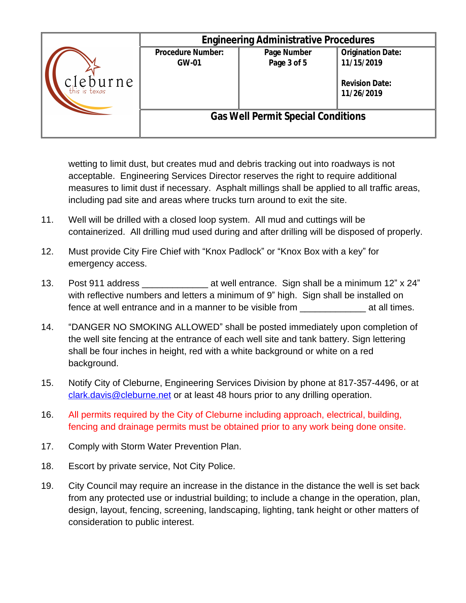|                              | <b>Engineering Administrative Procedures</b> |                            |                                                                               |
|------------------------------|----------------------------------------------|----------------------------|-------------------------------------------------------------------------------|
| $c$ leburne<br>this is texas | <b>Procedure Number:</b><br><b>GW-01</b>     | Page Number<br>Page 3 of 5 | <b>Origination Date:</b><br>11/15/2019<br><b>Revision Date:</b><br>11/26/2019 |
|                              | <b>Gas Well Permit Special Conditions</b>    |                            |                                                                               |

wetting to limit dust, but creates mud and debris tracking out into roadways is not acceptable. Engineering Services Director reserves the right to require additional measures to limit dust if necessary. Asphalt millings shall be applied to all traffic areas, including pad site and areas where trucks turn around to exit the site.

- 11. Well will be drilled with a closed loop system. All mud and cuttings will be containerized. All drilling mud used during and after drilling will be disposed of properly.
- 12. Must provide City Fire Chief with "Knox Padlock" or "Knox Box with a key" for emergency access.
- 13. Post 911 address \_\_\_\_\_\_\_\_\_\_\_\_\_ at well entrance. Sign shall be a minimum 12" x 24" with reflective numbers and letters a minimum of 9" high. Sign shall be installed on fence at well entrance and in a manner to be visible from \_\_\_\_\_\_\_\_\_\_\_\_\_ at all times.
- 14. "DANGER NO SMOKING ALLOWED" shall be posted immediately upon completion of the well site fencing at the entrance of each well site and tank battery. Sign lettering shall be four inches in height, red with a white background or white on a red background.
- 15. Notify City of Cleburne, Engineering Services Division by phone at 817-357-4496, or at [clark.davis@cleburne.net](mailto:clark.davis@cleburne.net) or at least 48 hours prior to any drilling operation.
- 16. All permits required by the City of Cleburne including approach, electrical, building, fencing and drainage permits must be obtained prior to any work being done onsite.
- 17. Comply with Storm Water Prevention Plan.
- 18. Escort by private service, Not City Police.
- 19. City Council may require an increase in the distance in the distance the well is set back from any protected use or industrial building; to include a change in the operation, plan, design, layout, fencing, screening, landscaping, lighting, tank height or other matters of consideration to public interest.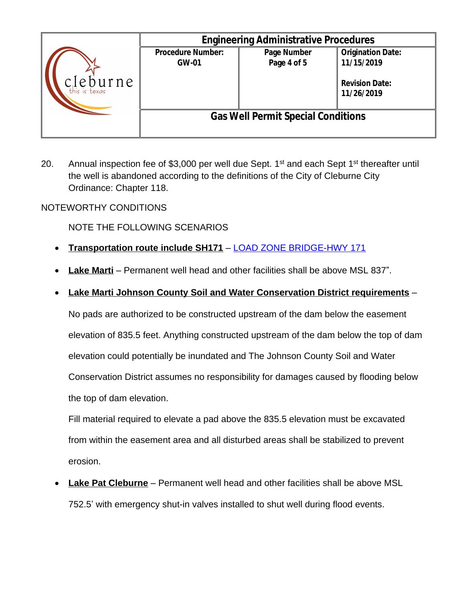|                              |                                           | <b>Engineering Administrative Procedures</b> |                                                                               |
|------------------------------|-------------------------------------------|----------------------------------------------|-------------------------------------------------------------------------------|
| $c$ leburne<br>this is texas | <b>Procedure Number:</b><br><b>GW-01</b>  | Page Number<br>Page 4 of 5                   | <b>Origination Date:</b><br>11/15/2019<br><b>Revision Date:</b><br>11/26/2019 |
|                              | <b>Gas Well Permit Special Conditions</b> |                                              |                                                                               |

20. Annual inspection fee of \$3,000 per well due Sept.  $1<sup>st</sup>$  and each Sept  $1<sup>st</sup>$  thereafter until the well is abandoned according to the definitions of the City of Cleburne City Ordinance: Chapter 118.

## NOTEWORTHY CONDITIONS

NOTE THE FOLLOWING SCENARIOS

- **Transportation route include SH171** [LOAD ZONE BRIDGE-HWY 171](http://www.cleburne.net/DocumentCenter/View/5622/Load-Zone-Bridge---HWY-171-?bidId=)
- **[Lake Marti](http://www.cleburne.net/DocumentCenter/View/5622/Load-Zone-Bridge---HWY-171-?bidId=)** [–](http://www.cleburne.net/DocumentCenter/View/5622/Load-Zone-Bridge---HWY-171-?bidId=) [Permanent well head and other facilities shall be above MSL 837](http://www.cleburne.net/DocumentCenter/View/5622/Load-Zone-Bridge---HWY-171-?bidId=)".
- **[Lake Marti Johnson County Soil and Water Conservation District requirements](http://www.cleburne.net/DocumentCenter/View/5622/Load-Zone-Bridge---HWY-171-?bidId=)** [–](http://www.cleburne.net/DocumentCenter/View/5622/Load-Zone-Bridge---HWY-171-?bidId=)

[No pads are authorized to be constructed upstream of the dam below the easement](http://www.cleburne.net/DocumentCenter/View/5622/Load-Zone-Bridge---HWY-171-?bidId=)  [elevation of 835.5 feet. Anything constructed upstream of the dam below the top of dam](http://www.cleburne.net/DocumentCenter/View/5622/Load-Zone-Bridge---HWY-171-?bidId=) [elevation could potentially be inundated and The Johnson County Soil and Water](http://www.cleburne.net/DocumentCenter/View/5622/Load-Zone-Bridge---HWY-171-?bidId=)  [Conservation District assumes no responsibility for damages caused by flooding below](http://www.cleburne.net/DocumentCenter/View/5622/Load-Zone-Bridge---HWY-171-?bidId=)  [the top of dam elevation.](http://www.cleburne.net/DocumentCenter/View/5622/Load-Zone-Bridge---HWY-171-?bidId=) 

[Fill material required to elevate a pad above the 835.5 elevation must be excavated](http://www.cleburne.net/DocumentCenter/View/5622/Load-Zone-Bridge---HWY-171-?bidId=)  [from within the easement area and all disturbed areas shall be stabilized to prevent](http://www.cleburne.net/DocumentCenter/View/5622/Load-Zone-Bridge---HWY-171-?bidId=)  [erosion.](http://www.cleburne.net/DocumentCenter/View/5622/Load-Zone-Bridge---HWY-171-?bidId=) 

 **[Lake Pat Cleburne](http://www.cleburne.net/DocumentCenter/View/5622/Load-Zone-Bridge---HWY-171-?bidId=)** [–](http://www.cleburne.net/DocumentCenter/View/5622/Load-Zone-Bridge---HWY-171-?bidId=) [Permanent well head and other facilities shall be above MSL](http://www.cleburne.net/DocumentCenter/View/5622/Load-Zone-Bridge---HWY-171-?bidId=)  752.5' [with emergency shut-in valves installed to shut well during flood events.](http://www.cleburne.net/DocumentCenter/View/5622/Load-Zone-Bridge---HWY-171-?bidId=)